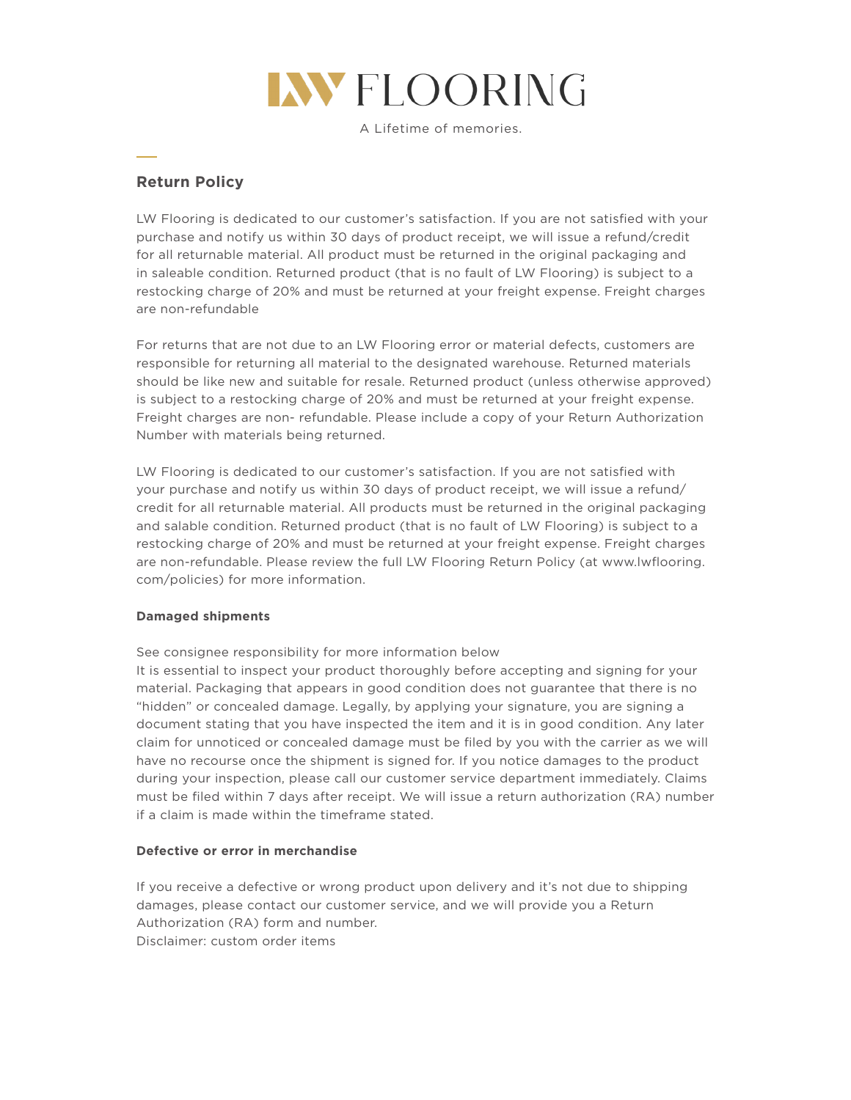

A Lifetime of memories.

# **Return Policy**

LW Flooring is dedicated to our customer's satisfaction. If you are not satisfied with your purchase and notify us within 30 days of product receipt, we will issue a refund/credit for all returnable material. All product must be returned in the original packaging and in saleable condition. Returned product (that is no fault of LW Flooring) is subject to a restocking charge of 20% and must be returned at your freight expense. Freight charges are non-refundable

For returns that are not due to an LW Flooring error or material defects, customers are responsible for returning all material to the designated warehouse. Returned materials should be like new and suitable for resale. Returned product (unless otherwise approved) is subject to a restocking charge of 20% and must be returned at your freight expense. Freight charges are non- refundable. Please include a copy of your Return Authorization Number with materials being returned.

LW Flooring is dedicated to our customer's satisfaction. If you are not satisfied with your purchase and notify us within 30 days of product receipt, we will issue a refund/ credit for all returnable material. All products must be returned in the original packaging and salable condition. Returned product (that is no fault of LW Flooring) is subject to a restocking charge of 20% and must be returned at your freight expense. Freight charges are non-refundable. Please review the full LW Flooring Return Policy (at www.lwflooring. com/policies) for more information.

# **Damaged shipments**

See consignee responsibility for more information below

It is essential to inspect your product thoroughly before accepting and signing for your material. Packaging that appears in good condition does not guarantee that there is no "hidden" or concealed damage. Legally, by applying your signature, you are signing a document stating that you have inspected the item and it is in good condition. Any later claim for unnoticed or concealed damage must be filed by you with the carrier as we will have no recourse once the shipment is signed for. If you notice damages to the product during your inspection, please call our customer service department immediately. Claims must be filed within 7 days after receipt. We will issue a return authorization (RA) number if a claim is made within the timeframe stated.

# **Defective or error in merchandise**

If you receive a defective or wrong product upon delivery and it's not due to shipping damages, please contact our customer service, and we will provide you a Return Authorization (RA) form and number. Disclaimer: custom order items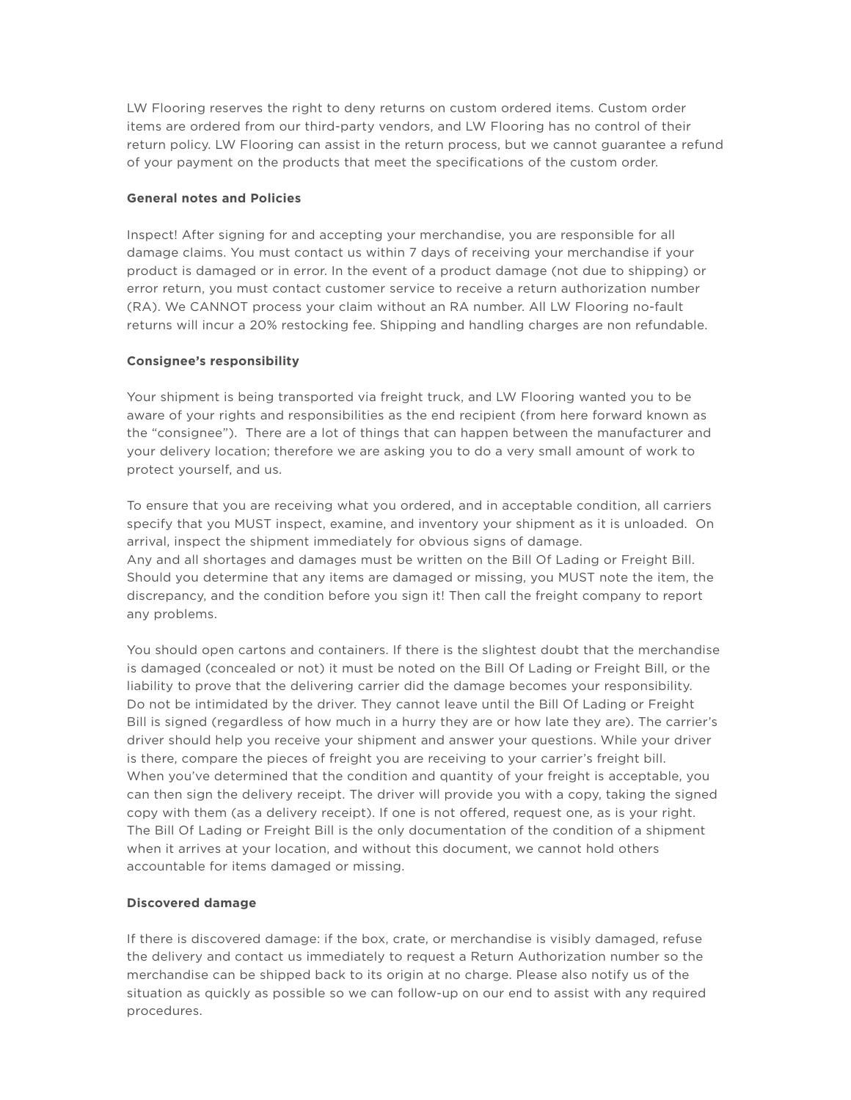LW Flooring reserves the right to deny returns on custom ordered items. Custom order items are ordered from our third-party vendors, and LW Flooring has no control of their return policy. LW Flooring can assist in the return process, but we cannot guarantee a refund of your payment on the products that meet the specifications of the custom order.

# **General notes and Policies**

Inspect! After signing for and accepting your merchandise, you are responsible for all damage claims. You must contact us within 7 days of receiving your merchandise if your product is damaged or in error. In the event of a product damage (not due to shipping) or error return, you must contact customer service to receive a return authorization number (RA). We CANNOT process your claim without an RA number. All LW Flooring no-fault returns will incur a 20% restocking fee. Shipping and handling charges are non refundable.

#### **Consignee's responsibility**

Your shipment is being transported via freight truck, and LW Flooring wanted you to be aware of your rights and responsibilities as the end recipient (from here forward known as the "consignee"). There are a lot of things that can happen between the manufacturer and your delivery location; therefore we are asking you to do a very small amount of work to protect yourself, and us.

To ensure that you are receiving what you ordered, and in acceptable condition, all carriers specify that you MUST inspect, examine, and inventory your shipment as it is unloaded. On arrival, inspect the shipment immediately for obvious signs of damage. Any and all shortages and damages must be written on the Bill Of Lading or Freight Bill. Should you determine that any items are damaged or missing, you MUST note the item, the discrepancy, and the condition before you sign it! Then call the freight company to report any problems.

You should open cartons and containers. If there is the slightest doubt that the merchandise is damaged (concealed or not) it must be noted on the Bill Of Lading or Freight Bill, or the liability to prove that the delivering carrier did the damage becomes your responsibility. Do not be intimidated by the driver. They cannot leave until the Bill Of Lading or Freight Bill is signed (regardless of how much in a hurry they are or how late they are). The carrier's driver should help you receive your shipment and answer your questions. While your driver is there, compare the pieces of freight you are receiving to your carrier's freight bill. When you've determined that the condition and quantity of your freight is acceptable, you can then sign the delivery receipt. The driver will provide you with a copy, taking the signed copy with them (as a delivery receipt). If one is not offered, request one, as is your right. The Bill Of Lading or Freight Bill is the only documentation of the condition of a shipment when it arrives at your location, and without this document, we cannot hold others accountable for items damaged or missing.

#### **Discovered damage**

If there is discovered damage: if the box, crate, or merchandise is visibly damaged, refuse the delivery and contact us immediately to request a Return Authorization number so the merchandise can be shipped back to its origin at no charge. Please also notify us of the situation as quickly as possible so we can follow-up on our end to assist with any required procedures.